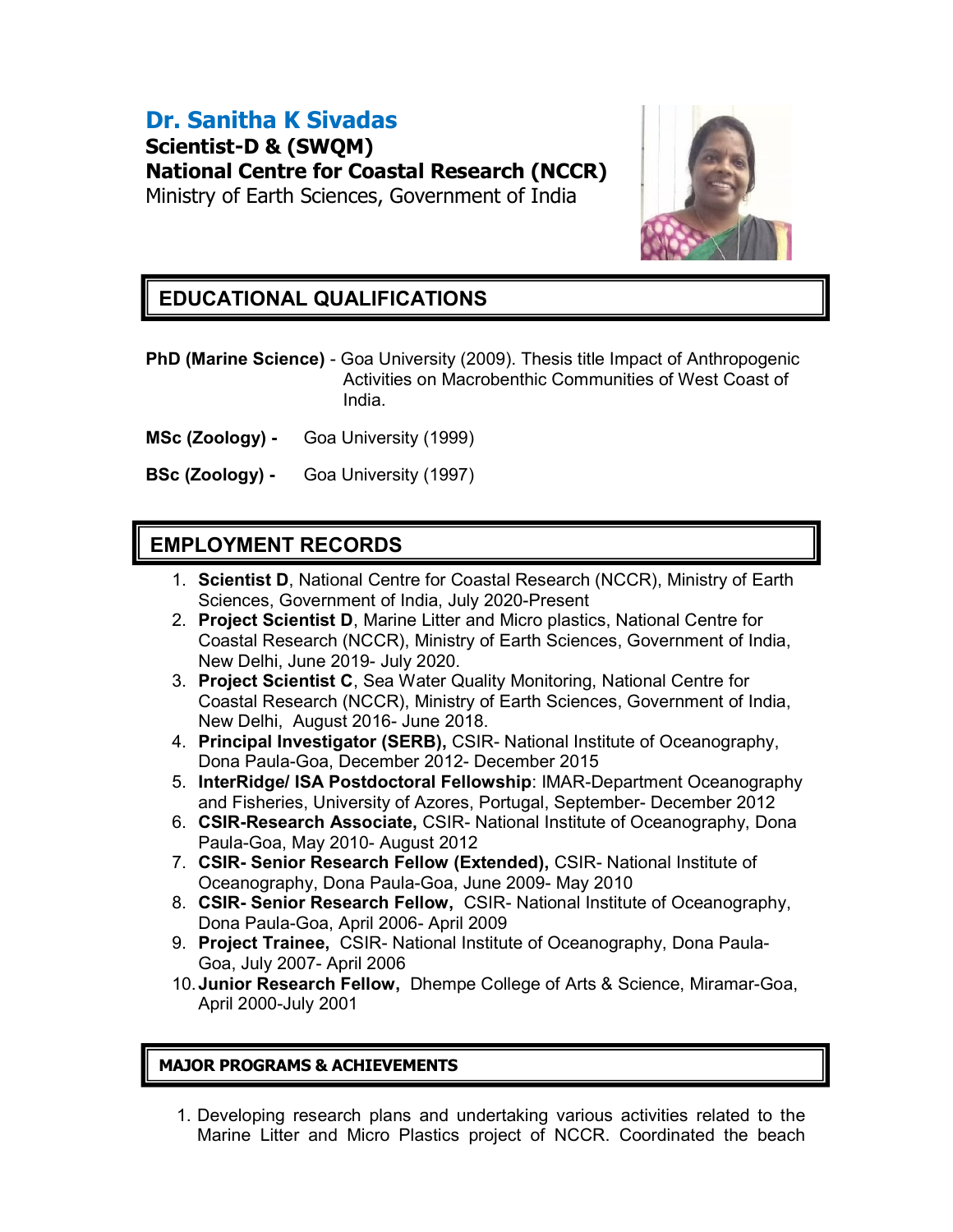# Dr. Sanitha K Sivadas

Scientist-D & (SWQM) National Centre for Coastal Research (NCCR) Ministry of Earth Sciences, Government of India



## **EDUCATIONAL QUALIFICATIONS**

PhD (Marine Science) - Goa University (2009). Thesis title Impact of Anthropogenic Activities on Macrobenthic Communities of West Coast of India.

- MSc (Zoology) Goa University (1999)
- BSc (Zoology) Goa University (1997)

### EMPLOYMENT RECORDS

- 1. Scientist D, National Centre for Coastal Research (NCCR), Ministry of Earth Sciences, Government of India, July 2020-Present
- 2. Project Scientist D, Marine Litter and Micro plastics, National Centre for Coastal Research (NCCR), Ministry of Earth Sciences, Government of India, New Delhi, June 2019- July 2020.
- 3. Project Scientist C, Sea Water Quality Monitoring, National Centre for Coastal Research (NCCR), Ministry of Earth Sciences, Government of India, New Delhi, August 2016- June 2018.
- 4. Principal Investigator (SERB), CSIR- National Institute of Oceanography, Dona Paula-Goa, December 2012- December 2015
- 5. InterRidge/ ISA Postdoctoral Fellowship: IMAR-Department Oceanography and Fisheries, University of Azores, Portugal, September- December 2012
- 6. CSIR-Research Associate, CSIR- National Institute of Oceanography, Dona Paula-Goa, May 2010- August 2012
- 7. CSIR- Senior Research Fellow (Extended), CSIR- National Institute of Oceanography, Dona Paula-Goa, June 2009- May 2010
- 8. CSIR- Senior Research Fellow, CSIR- National Institute of Oceanography, Dona Paula-Goa, April 2006- April 2009
- 9. Project Trainee, CSIR- National Institute of Oceanography, Dona Paula-Goa, July 2007- April 2006
- 10. Junior Research Fellow, Dhempe College of Arts & Science, Miramar-Goa, April 2000-July 2001

#### MAJOR PROGRAMS & ACHIEVEMENTS

1. Developing research plans and undertaking various activities related to the Marine Litter and Micro Plastics project of NCCR. Coordinated the beach